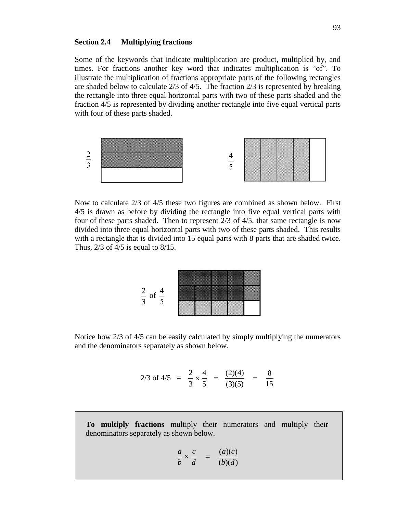## **Section 2.4 Multiplying fractions**

Some of the keywords that indicate multiplication are product, multiplied by, and times. For fractions another key word that indicates multiplication is "of". To illustrate the multiplication of fractions appropriate parts of the following rectangles are shaded below to calculate  $2/3$  of  $4/5$ . The fraction  $2/3$  is represented by breaking the rectangle into three equal horizontal parts with two of these parts shaded and the fraction 4/5 is represented by dividing another rectangle into five equal vertical parts with four of these parts shaded.



Now to calculate 2/3 of 4/5 these two figures are combined as shown below. First 4/5 is drawn as before by dividing the rectangle into five equal vertical parts with four of these parts shaded. Then to represent 2/3 of 4/5, that same rectangle is now divided into three equal horizontal parts with two of these parts shaded. This results with a rectangle that is divided into 15 equal parts with 8 parts that are shaded twice. Thus,  $2/3$  of  $4/5$  is equal to  $8/15$ .



Notice how 2/3 of 4/5 can be easily calculated by simply multiplying the numerators and the denominators separately as shown below.

$$
2/3 \text{ of } 4/5 = \frac{2}{3} \times \frac{4}{5} = \frac{(2)(4)}{(3)(5)} = \frac{8}{15}
$$

**To multiply fractions** multiply their numerators and multiply their denominators separately as shown below.

$$
\frac{a}{b} \times \frac{c}{d} = \frac{(a)(c)}{(b)(d)}
$$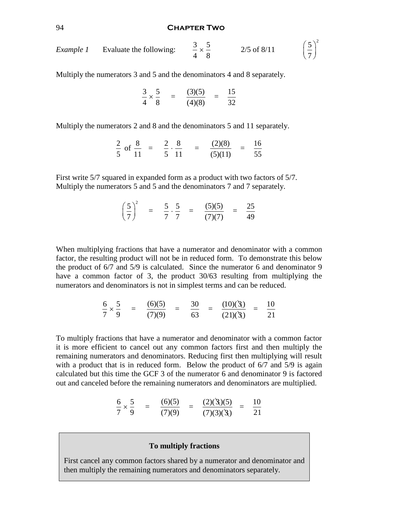#### 94 **Chapter Two**

2

Example 1 Evaluate the following: 
$$
\frac{3}{4} \times \frac{5}{8}
$$
 2/5 of 8/11  $\left(\frac{5}{7}\right)$ 

Multiply the numerators 3 and 5 and the denominators 4 and 8 separately.

$$
\frac{3}{4} \times \frac{5}{8} = \frac{(3)(5)}{(4)(8)} = \frac{15}{32}
$$

Multiply the numerators 2 and 8 and the denominators 5 and 11 separately.

$$
\frac{2}{5} \text{ of } \frac{8}{11} = \frac{2}{5} \cdot \frac{8}{11} = \frac{(2)(8)}{(5)(11)} = \frac{16}{55}
$$

First write 5/7 squared in expanded form as a product with two factors of 5/7. Multiply the numerators 5 and 5 and the denominators 7 and 7 separately.

$$
\left(\frac{5}{7}\right)^2 = \frac{5}{7} \cdot \frac{5}{7} = \frac{(5)(5)}{(7)(7)} = \frac{25}{49}
$$

When multiplying fractions that have a numerator and denominator with a common factor, the resulting product will not be in reduced form. To demonstrate this below the product of 6/7 and 5/9 is calculated. Since the numerator 6 and denominator 9 have a common factor of 3, the product 30/63 resulting from multiplying the numerators and denominators is not in simplest terms and can be reduced.

$$
\frac{6}{7} \times \frac{5}{9} = \frac{(6)(5)}{(7)(9)} = \frac{30}{63} = \frac{(10)(3)}{(21)(3)} = \frac{10}{21}
$$

To multiply fractions that have a numerator and denominator with a common factor it is more efficient to cancel out any common factors first and then multiply the remaining numerators and denominators. Reducing first then multiplying will result with a product that is in reduced form. Below the product of 6/7 and 5/9 is again calculated but this time the GCF 3 of the numerator 6 and denominator 9 is factored out and canceled before the remaining numerators and denominators are multiplied.

$$
\frac{6}{7} \times \frac{5}{9} = \frac{(6)(5)}{(7)(9)} = \frac{(2)(3)(5)}{(7)(3)(3)} = \frac{10}{21}
$$

## **To multiply fractions**

First cancel any common factors shared by a numerator and denominator and then multiply the remaining numerators and denominators separately.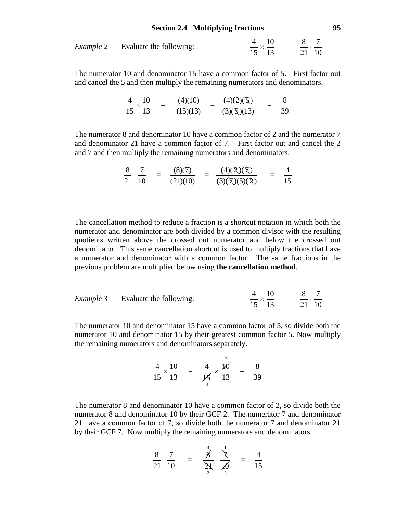## **Section 2.4 Multiplying fractions 95**

|  | <i>Example 2</i> Evaluate the following: | 4 10    |       |  |
|--|------------------------------------------|---------|-------|--|
|  |                                          | $- x -$ |       |  |
|  |                                          | 15 13   | 21 10 |  |

The numerator 10 and denominator 15 have a common factor of 5. First factor out and cancel the 5 and then multiply the remaining numerators and denominators.

$$
\frac{4}{15} \times \frac{10}{13} = \frac{(4)(10)}{(15)(13)} = \frac{(4)(2)(5)}{(3)(5)(13)} = \frac{8}{39}
$$

The numerator 8 and denominator 10 have a common factor of 2 and the numerator 7 and denominator 21 have a common factor of 7. First factor out and cancel the 2 and 7 and then multiply the remaining numerators and denominators.

$$
\frac{8}{21} \cdot \frac{7}{10} = \frac{(8)(7)}{(21)(10)} = \frac{(4)(\cancel{2})(\cancel{7})}{(3)(\cancel{7})(5)(\cancel{2})} = \frac{4}{15}
$$

The cancellation method to reduce a fraction is a shortcut notation in which both the numerator and denominator are both divided by a common divisor with the resulting quotients written above the crossed out numerator and below the crossed out denominator. This same cancellation shortcut is used to multiply fractions that have a numerator and denominator with a common factor. The same fractions in the previous problem are multiplied below using **the cancellation method**.

|  | <i>Example 3</i> Evaluate the following: | $4 \quad 10$ |       |
|--|------------------------------------------|--------------|-------|
|  |                                          | $- x -$      |       |
|  |                                          | 15 13        | 21 10 |

The numerator 10 and denominator 15 have a common factor of 5, so divide both the numerator 10 and denominator 15 by their greatest common factor 5. Now multiply the remaining numerators and denominators separately.

$$
\frac{4}{15} \times \frac{10}{13} = \frac{4}{\cancel{15}} \times \frac{\cancel{10}^2}{13} = \frac{8}{39}
$$

The numerator 8 and denominator 10 have a common factor of 2, so divide both the numerator 8 and denominator 10 by their GCF 2. The numerator 7 and denominator 21 have a common factor of 7, so divide both the numerator 7 and denominator 21 by their GCF 7. Now multiply the remaining numerators and denominators.

$$
\frac{8}{21} \cdot \frac{7}{10} = \frac{\stackrel{4}{\cancel{8}}}{\stackrel{\ddots}{\cancel{2}}}\cdot \frac{\stackrel{1}{\cancel{7}}}{\cancel{10}} = \frac{4}{15}
$$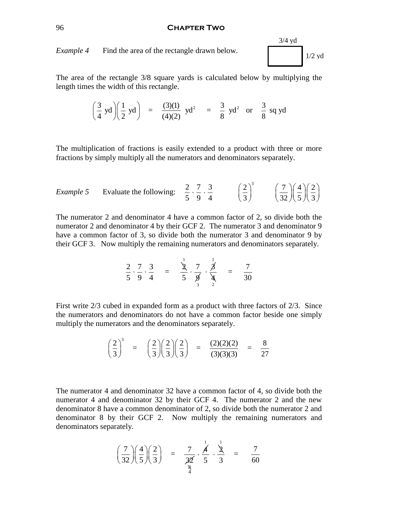#### 96 **Chapter Two**

*Example 4* Find the area of the rectangle drawn below.

3/4 yd 1/2 yd

The area of the rectangle 3/8 square yards is calculated below by multiplying the length times the width of this rectangle.

$$
\left(\frac{3}{4} \text{ yd}\right)\left(\frac{1}{2} \text{ yd}\right) = \frac{(3)(1)}{(4)(2)} \text{ yd}^2 = \frac{3}{8} \text{ yd}^2 \text{ or } \frac{3}{8} \text{ sq yd}
$$

The multiplication of fractions is easily extended to a product with three or more fractions by simply multiply all the numerators and denominators separately.

Example 5 Evaluate the following: 
$$
\frac{2}{5} \cdot \frac{7}{9} \cdot \frac{3}{4}
$$
  $\left(\frac{2}{3}\right)^3$   $\left(\frac{7}{32}\right)\left(\frac{4}{5}\right)\left(\frac{2}{3}\right)$ 

The numerator 2 and denominator 4 have a common factor of 2, so divide both the numerator 2 and denominator 4 by their GCF 2. The numerator 3 and denominator 9 have a common factor of 3, so divide both the numerator 3 and denominator 9 by their GCF 3. Now multiply the remaining numerators and denominators separately.

$$
\frac{2}{5} \cdot \frac{7}{9} \cdot \frac{3}{4} = \frac{1}{5} \cdot \frac{7}{9} \cdot \frac{7}{4} = \frac{7}{30}
$$

1

First write 2/3 cubed in expanded form as a product with three factors of 2/3. Since the numerators and denominators do not have a common factor beside one simply multiply the numerators and the denominators separately.

$$
\left(\frac{2}{3}\right)^3 = \left(\frac{2}{3}\right)\left(\frac{2}{3}\right)\left(\frac{2}{3}\right) = \frac{(2)(2)(2)}{(3)(3)(3)} = \frac{8}{27}
$$

The numerator 4 and denominator 32 have a common factor of 4, so divide both the numerator 4 and denominator 32 by their GCF 4. The numerator 2 and the new denominator 8 have a common denominator of 2, so divide both the numerator 2 and denominator 8 by their GCF 2. Now multiply the remaining numerators and denominators separately.

$$
\left(\frac{7}{32}\right)\left(\frac{4}{5}\right)\left(\frac{2}{3}\right) = \frac{7}{32} \cdot \frac{4}{5} \cdot \frac{4}{3} = \frac{7}{60}
$$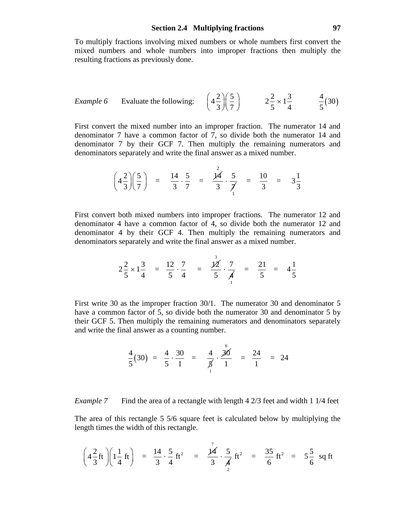To multiply fractions involving mixed numbers or whole numbers first convert the mixed numbers and whole numbers into improper fractions then multiply the resulting fractions as previously done.

Example 6 Evaluate the following: 
$$
\left(4\frac{2}{3}\right)\left(\frac{5}{7}\right)
$$
  $2\frac{2}{5} \times 1\frac{3}{4}$   $\frac{4}{5}(30)$ 

First convert the mixed number into an improper fraction. The numerator 14 and denominator 7 have a common factor of 7, so divide both the numerator 14 and denominator 7 by their GCF 7. Then multiply the remaining numerators and denominators separately and write the final answer as a mixed number.

$$
\left(4\frac{2}{3}\right)\left(\frac{5}{7}\right) = \frac{14}{3}\cdot\frac{5}{7} = \frac{\cancel{14}}{3}\cdot\frac{5}{\cancel{7}} = \frac{10}{3} = 3\frac{1}{3}
$$

First convert both mixed numbers into improper fractions. The numerator 12 and denominator 4 have a common factor of 4, so divide both the numerator 12 and denominator 4 by their GCF 4. Then multiply the remaining numerators and denominators separately and write the final answer as a mixed number.

$$
2\frac{2}{5} \times 1\frac{3}{4} = \frac{12}{5} \cdot \frac{7}{4} = \frac{\cancel{12}}{5} \cdot \frac{7}{\cancel{4}} = \frac{21}{5} = 4\frac{1}{5}
$$

 $\overline{3}$ 

First write 30 as the improper fraction 30/1. The numerator 30 and denominator 5 have a common factor of 5, so divide both the numerator 30 and denominator 5 by their GCF 5. Then multiply the remaining numerators and denominators separately and write the final answer as a counting number.

$$
\frac{4}{5}(30) = \frac{4}{5} \cdot \frac{30}{1} = \frac{4}{5} \cdot \frac{30}{1} = \frac{24}{1} = 24
$$

*Example 7* Find the area of a rectangle with length 4 2/3 feet and width 1 1/4 feet

The area of this rectangle 5 5/6 square feet is calculated below by multiplying the length times the width of this rectangle.

$$
\left(4\frac{2}{3}ft\right)\left(1\frac{1}{4}ft\right) = \frac{14}{3}\cdot\frac{5}{4}ft^2 = \frac{\cancel{14}}{3}\cdot\frac{5}{\cancel{4}}ft^2 = \frac{35}{6}ft^2 = 5\frac{5}{6} \text{ sq ft}
$$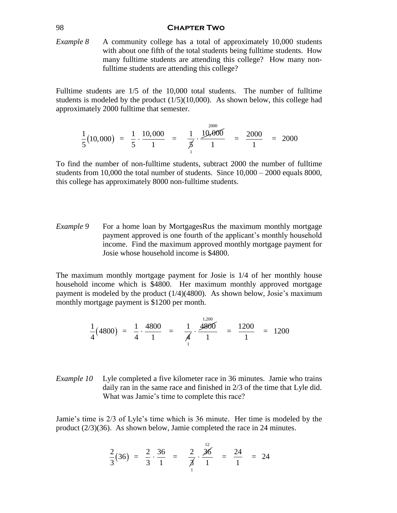#### 98 **Chapter Two**

*Example 8* A community college has a total of approximately 10,000 students with about one fifth of the total students being fulltime students. How many fulltime students are attending this college? How many nonfulltime students are attending this college?

Fulltime students are 1/5 of the 10,000 total students. The number of fulltime students is modeled by the product  $(1/5)(10,000)$ . As shown below, this college had approximately 2000 fulltime that semester.

$$
\frac{1}{5}(10,000) = \frac{1}{5} \cdot \frac{10,000}{1} = \frac{1}{5} \cdot \frac{10,000}{1} = \frac{2000}{1} = 2000
$$

To find the number of non-fulltime students, subtract 2000 the number of fulltime students from 10,000 the total number of students. Since  $10,000 - 2000$  equals 8000, this college has approximately 8000 non-fulltime students.

*Example 9* For a home loan by MortgagesRus the maximum monthly mortgage payment approved is one fourth of the applicant's monthly household income. Find the maximum approved monthly mortgage payment for Josie whose household income is \$4800.

The maximum monthly mortgage payment for Josie is 1/4 of her monthly house household income which is \$4800. Her maximum monthly approved mortgage payment is modeled by the product (1/4)(4800). As shown below, Josie's maximum monthly mortgage payment is \$1200 per month.

$$
\frac{1}{4}(4800) = \frac{1}{4} \cdot \frac{4800}{1} = \frac{1}{4} \cdot \frac{4800}{1} = \frac{1200}{1} = 1200
$$

*Example 10* Lyle completed a five kilometer race in 36 minutes. Jamie who trains daily ran in the same race and finished in 2/3 of the time that Lyle did. What was Jamie's time to complete this race?

Jamie's time is 2/3 of Lyle's time which is 36 minute. Her time is modeled by the product (2/3)(36). As shown below, Jamie completed the race in 24 minutes.

$$
\frac{2}{3}(36) = \frac{2}{3} \cdot \frac{36}{1} = \frac{2}{3} \cdot \frac{36}{1} = \frac{24}{1} = 24
$$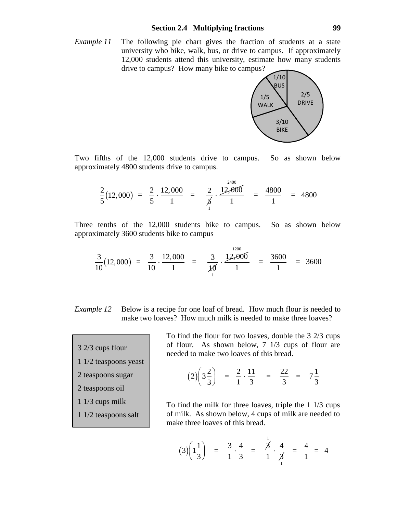*Example 11* The following pie chart gives the fraction of students at a state university who bike, walk, bus, or drive to campus. If approximately 12,000 students attend this university, estimate how many students drive to campus? How many bike to campus?



Two fifths of the 12,000 students drive to campus. So as shown below approximately 4800 students drive to campus.

$$
\frac{2}{5}(12,000) = \frac{2}{5} \cdot \frac{12,000}{1} = \frac{2}{5} \cdot \frac{12,000}{1} = \frac{4800}{1} = 4800
$$

Three tenths of the 12,000 students bike to campus. So as shown below approximately 3600 students bike to campus

$$
\frac{3}{10}(12,000) = \frac{3}{10} \cdot \frac{12,000}{1} = \frac{3}{10} \cdot \frac{12,000}{1} = \frac{3600}{1} = 3600
$$

- *Example 12* Below is a recipe for one loaf of bread. How much flour is needed to make two loaves? How much milk is needed to make three loaves?
- 3 2/3 cups flour
- 1 1/2 teaspoons yeast
- 2 teaspoons sugar
- 2 teaspoons oil
- 1 1/3 cups milk
- 1 1/2 teaspoons salt

To find the flour for two loaves, double the 3 2/3 cups of flour. As shown below, 7 1/3 cups of flour are needed to make two loaves of this bread.

$$
(2)\left(3\frac{2}{3}\right) = \frac{2}{1}\cdot\frac{11}{3} = \frac{22}{3} = 7\frac{1}{3}
$$

To find the milk for three loaves, triple the 1 1/3 cups of milk. As shown below, 4 cups of milk are needed to make three loaves of this bread.

$$
(3)\left(1\frac{1}{3}\right) = \frac{3}{1}\cdot\frac{4}{3} = \frac{\cancel{3}^1}{1}\cdot\frac{4}{\cancel{3}_1} = \frac{4}{1} = 4
$$

1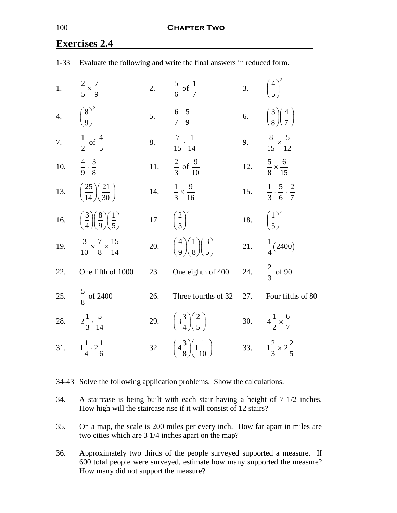|     | 1-33 Evaluate the following and write the final answers in reduced form.       |     |                                                                                |     |                                                       |  |
|-----|--------------------------------------------------------------------------------|-----|--------------------------------------------------------------------------------|-----|-------------------------------------------------------|--|
|     | 1. $\frac{2}{5} \times \frac{7}{9}$                                            |     | 2. $rac{5}{6}$ of $rac{1}{7}$                                                  |     | 3. $\left(\frac{4}{5}\right)^2$                       |  |
|     | 4. $\left(\frac{8}{9}\right)^2$                                                |     | 5. $\frac{6}{7} \cdot \frac{5}{9}$                                             |     | 6. $\left(\frac{3}{8}\right)\left(\frac{4}{7}\right)$ |  |
|     | 7. $\frac{1}{2}$ of $\frac{4}{5}$                                              |     | 8. $\frac{7}{15} \cdot \frac{1}{14}$                                           |     | 9. $\frac{8}{15} \times \frac{5}{12}$                 |  |
|     | 10. $\frac{4}{9} \cdot \frac{3}{8}$                                            |     | 11. $\frac{2}{3}$ of $\frac{9}{10}$                                            |     | 12. $rac{5}{8} \times \frac{6}{15}$                   |  |
|     | 13. $\left(\frac{25}{14}\right)\left(\frac{21}{30}\right)$                     |     | 14. $\frac{1}{3} \times \frac{9}{16}$                                          |     | 15. $\frac{1}{3} \cdot \frac{5}{6} \cdot \frac{2}{7}$ |  |
|     | 16. $\left(\frac{3}{4}\right)\left(\frac{8}{9}\right)\left(\frac{1}{5}\right)$ |     | 17. $\left(\frac{2}{3}\right)^3$                                               |     | 18. $\left(\frac{1}{5}\right)^3$                      |  |
|     | 19. $\frac{3}{10} \times \frac{7}{8} \times \frac{15}{14}$                     |     | 20. $\left(\frac{4}{9}\right)\left(\frac{1}{8}\right)\left(\frac{3}{5}\right)$ |     | 21. $\frac{1}{4}(2400)$                               |  |
| 22. | One fifth of 1000                                                              | 23. | One eighth of 400                                                              |     | 24. $\frac{2}{3}$ of 90                               |  |
|     | 25. $\frac{5}{8}$ of 2400                                                      | 26. | Three fourths of 32                                                            | 27. | Four fifths of 80                                     |  |
|     | 28. $2\frac{1}{3} \cdot \frac{5}{14}$                                          |     | 29. $\left(3\frac{3}{4}\right)\left(\frac{2}{5}\right)$                        |     | 30. $4\frac{1}{2} \times \frac{6}{7}$                 |  |
|     | 31. $1\frac{1}{4}\cdot 2\frac{1}{6}$                                           |     | 32. $\left(4\frac{3}{8}\right)\left(1\frac{1}{10}\right)$                      |     | 33. $1\frac{2}{3} \times 2\frac{2}{5}$                |  |

# **Exercises 2.4**

34-43 Solve the following application problems. Show the calculations.

34. A staircase is being built with each stair having a height of 7 1/2 inches. How high will the staircase rise if it will consist of 12 stairs?

35. On a map, the scale is 200 miles per every inch. How far apart in miles are two cities which are 3 1/4 inches apart on the map?

36. Approximately two thirds of the people surveyed supported a measure. If 600 total people were surveyed, estimate how many supported the measure? How many did not support the measure?